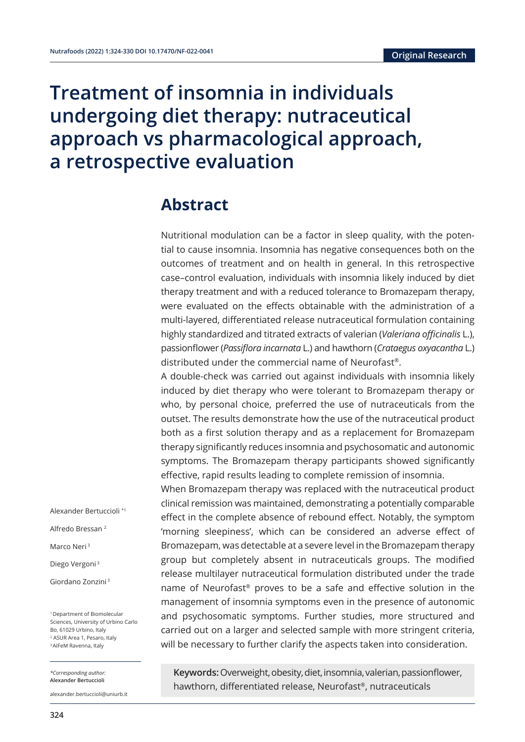# **Treatment of insomnia in individuals** undergoing diet therapy: nutraceutical approach vs pharmacological approach, a retrospective evaluation

## **Abstract**

Nutritional modulation can be a factor in sleep quality, with the potential to cause insomnia. Insomnia has negative consequences both on the outcomes of treatment and on health in general. In this retrospective case–control evaluation, individuals with insomnia likely induced by diet therapy treatment and with a reduced tolerance to Bromazepam therapy, were evaluated on the effects obtainable with the administration of a multi-layered, differentiated release nutraceutical formulation containing highly standardized and titrated extracts of valerian (*Valeriana officinalis* L.), passionflower (*Passiflora incarnata* L.) and hawthorn (*Crataegus oxyacantha* L.) distributed under the commercial name of Neurofast®.

A double-check was carried out against individuals with insomnia likely induced by diet therapy who were tolerant to Bromazepam therapy or who, by personal choice, preferred the use of nutraceuticals from the outset. The results demonstrate how the use of the nutraceutical product both as a first solution therapy and as a replacement for Bromazepam therapy significantly reduces insomnia and psychosomatic and autonomic symptoms. The Bromazepam therapy participants showed significantly effective, rapid results leading to complete remission of insomnia.

When Bromazepam therapy was replaced with the nutraceutical product clinical remission was maintained, demonstrating a potentially comparable effect in the complete absence of rebound effect. Notably, the symptom 'morning sleepiness', which can be considered an adverse effect of Bromazepam, was detectable at a severe level in the Bromazepam therapy group but completely absent in nutraceuticals groups. The modified release multilayer nutraceutical formulation distributed under the trade name of Neurofast® proves to be a safe and effective solution in the management of insomnia symptoms even in the presence of autonomic and psychosomatic symptoms. Further studies, more structured and carried out on a larger and selected sample with more stringent criteria, will be necessary to further clarify the aspects taken into consideration.

**Keywords:** Overweight, obesity, diet, insomnia, valerian, passionflower, hawthorn, differentiated release, Neurofast®, nutraceuticals

Alexander Bertuccioli \*1

Alfredo Bressan 2

Marco Neri<sup>3</sup>

Diego Vergoni<sup>3</sup>

Giordano Zonzini 3

1 Department of Biomolecular Sciences, University of Urbino Carlo Bo, 61029 Urbino, Italy 2 ASUR Area 1, Pesaro, Italy 3 AIFeM Ravenna, Italy

*\*Corresponding author:*  **Alexander Bertuccioli** 

alexander.bertuccioli@uniurb.it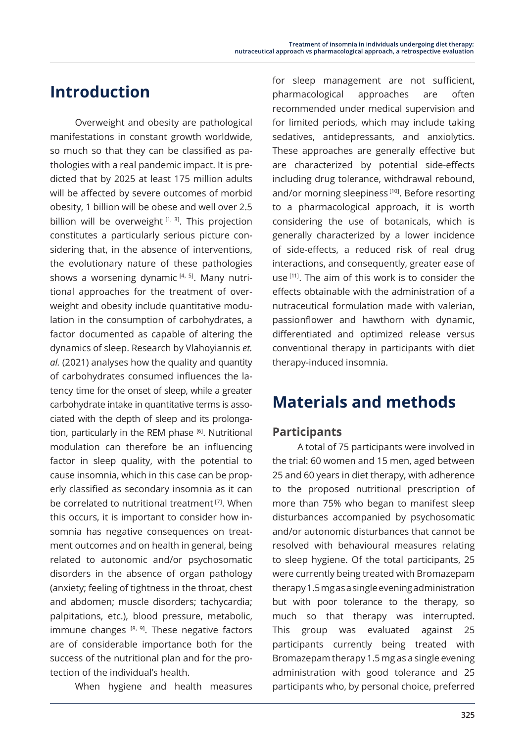# **Introduction**

Overweight and obesity are pathological manifestations in constant growth worldwide, so much so that they can be classified as pathologies with a real pandemic impact. It is predicted that by 2025 at least 175 million adults will be affected by severe outcomes of morbid obesity, 1 billion will be obese and well over 2.5 billion will be overweight  $[1, 3]$ . This projection constitutes a particularly serious picture considering that, in the absence of interventions, the evolutionary nature of these pathologies shows a worsening dynamic  $[4, 5]$ . Many nutritional approaches for the treatment of overweight and obesity include quantitative modulation in the consumption of carbohydrates, a factor documented as capable of altering the dynamics of sleep. Research by Vlahoyiannis *et. al.* (2021) analyses how the quality and quantity of carbohydrates consumed influences the latency time for the onset of sleep, while a greater carbohydrate intake in quantitative terms is associated with the depth of sleep and its prolongation, particularly in the REM phase [6]. Nutritional modulation can therefore be an influencing factor in sleep quality, with the potential to cause insomnia, which in this case can be properly classified as secondary insomnia as it can be correlated to nutritional treatment<sup>[7]</sup>. When this occurs, it is important to consider how insomnia has negative consequences on treatment outcomes and on health in general, being related to autonomic and/or psychosomatic disorders in the absence of organ pathology (anxiety; feeling of tightness in the throat, chest and abdomen; muscle disorders; tachycardia; palpitations, etc.), blood pressure, metabolic, immune changes  $[8, 9]$ . These negative factors are of considerable importance both for the success of the nutritional plan and for the protection of the individual's health.

When hygiene and health measures

for sleep management are not sufficient, pharmacological approaches are often recommended under medical supervision and for limited periods, which may include taking sedatives, antidepressants, and anxiolytics. These approaches are generally effective but are characterized by potential side-effects including drug tolerance, withdrawal rebound, and/or morning sleepiness<sup>[10]</sup>. Before resorting to a pharmacological approach, it is worth considering the use of botanicals, which is generally characterized by a lower incidence of side-effects, a reduced risk of real drug interactions, and consequently, greater ease of use [11]. The aim of this work is to consider the effects obtainable with the administration of a nutraceutical formulation made with valerian, passionflower and hawthorn with dynamic, differentiated and optimized release versus conventional therapy in participants with diet therapy-induced insomnia.

# **Materials and methods**

### **Participants**

A total of 75 participants were involved in the trial: 60 women and 15 men, aged between 25 and 60 years in diet therapy, with adherence to the proposed nutritional prescription of more than 75% who began to manifest sleep disturbances accompanied by psychosomatic and/or autonomic disturbances that cannot be resolved with behavioural measures relating to sleep hygiene. Of the total participants, 25 were currently being treated with Bromazepam therapy 1.5 mg as a single evening administration but with poor tolerance to the therapy, so much so that therapy was interrupted. This group was evaluated against 25 participants currently being treated with Bromazepam therapy 1.5 mg as a single evening administration with good tolerance and 25 participants who, by personal choice, preferred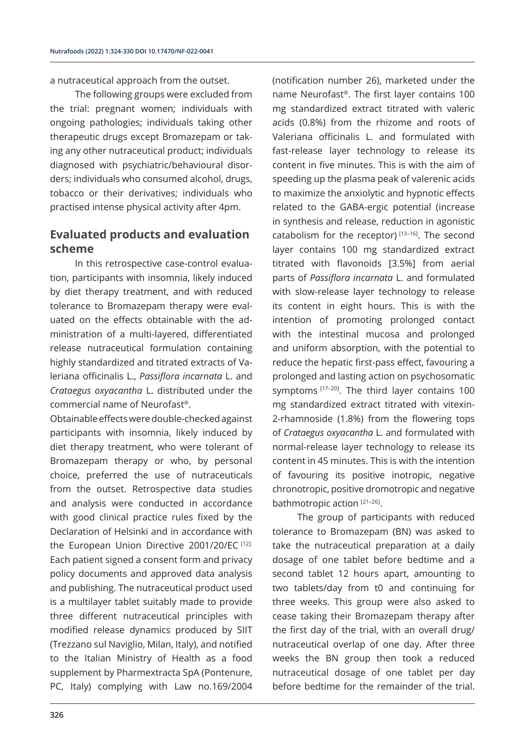a nutraceutical approach from the outset.

The following groups were excluded from the trial: pregnant women; individuals with ongoing pathologies; individuals taking other therapeutic drugs except Bromazepam or taking any other nutraceutical product; individuals diagnosed with psychiatric/behavioural disorders; individuals who consumed alcohol, drugs, tobacco or their derivatives; individuals who practised intense physical activity after 4pm.

### **Evaluated products and evaluation scheme**

In this retrospective case-control evaluation, participants with insomnia, likely induced by diet therapy treatment, and with reduced tolerance to Bromazepam therapy were evaluated on the effects obtainable with the administration of a multi-layered, differentiated release nutraceutical formulation containing highly standardized and titrated extracts of Valeriana officinalis L., *Passiflora incarnata* L. and *Crataegus oxyacantha* L. distributed under the commercial name of Neurofast®.

Obtainable effects were double-checked against participants with insomnia, likely induced by diet therapy treatment, who were tolerant of Bromazepam therapy or who, by personal choice, preferred the use of nutraceuticals from the outset. Retrospective data studies and analysis were conducted in accordance with good clinical practice rules fixed by the Declaration of Helsinki and in accordance with the European Union Directive 2001/20/EC [12]. Each patient signed a consent form and privacy policy documents and approved data analysis and publishing. The nutraceutical product used is a multilayer tablet suitably made to provide three different nutraceutical principles with modified release dynamics produced by SIIT (Trezzano sul Naviglio, Milan, Italy), and notified to the Italian Ministry of Health as a food supplement by Pharmextracta SpA (Pontenure, PC, Italy) complying with Law no.169/2004

(notification number 26), marketed under the name Neurofast®. The first layer contains 100 mg standardized extract titrated with valeric acids (0.8%) from the rhizome and roots of Valeriana officinalis L. and formulated with fast-release layer technology to release its content in five minutes. This is with the aim of speeding up the plasma peak of valerenic acids to maximize the anxiolytic and hypnotic effects related to the GABA-ergic potential (increase in synthesis and release, reduction in agonistic catabolism for the receptor)<sup>[13-16]</sup>. The second layer contains 100 mg standardized extract titrated with flavonoids [3.5%] from aerial parts of *Passiflora incarnata* L. and formulated with slow-release layer technology to release its content in eight hours. This is with the intention of promoting prolonged contact with the intestinal mucosa and prolonged and uniform absorption, with the potential to reduce the hepatic first-pass effect, favouring a prolonged and lasting action on psychosomatic symptoms [17-20]. The third layer contains 100 mg standardized extract titrated with vitexin-2-rhamnoside (1.8%) from the flowering tops of *Crataegus oxyacantha* L. and formulated with normal-release layer technology to release its content in 45 minutes. This is with the intention of favouring its positive inotropic, negative chronotropic, positive dromotropic and negative bathmotropic action [21-26].

The group of participants with reduced tolerance to Bromazepam (BN) was asked to take the nutraceutical preparation at a daily dosage of one tablet before bedtime and a second tablet 12 hours apart, amounting to two tablets/day from t0 and continuing for three weeks. This group were also asked to cease taking their Bromazepam therapy after the first day of the trial, with an overall drug/ nutraceutical overlap of one day. After three weeks the BN group then took a reduced nutraceutical dosage of one tablet per day before bedtime for the remainder of the trial.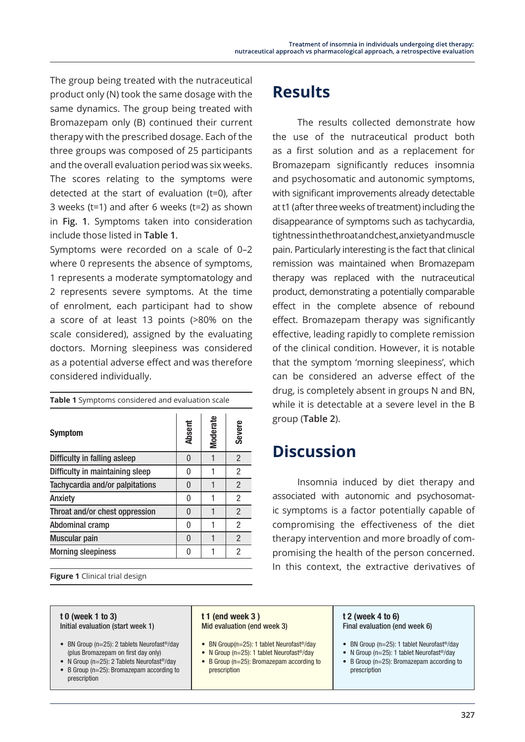The group being treated with the nutraceutical product only (N) took the same dosage with the same dynamics. The group being treated with Bromazepam only (B) continued their current therapy with the prescribed dosage. Each of the three groups was composed of 25 participants and the overall evaluation period was six weeks. The scores relating to the symptoms were detected at the start of evaluation (t=0), after 3 weeks (t=1) and after 6 weeks (t=2) as shown in **Fig. 1**. Symptoms taken into consideration include those listed in **Table 1**.

Symptoms were recorded on a scale of 0–2 where 0 represents the absence of symptoms, 1 represents a moderate symptomatology and 2 represents severe symptoms. At the time of enrolment, each participant had to show a score of at least 13 points (>80% on the scale considered), assigned by the evaluating doctors. Morning sleepiness was considered as a potential adverse effect and was therefore considered individually.

| <b>Table 1</b> Symptoms considered and evaluation scale |        |                 |                |  |
|---------------------------------------------------------|--------|-----------------|----------------|--|
| <b>Symptom</b>                                          | Absent | <b>Moderate</b> | Severe         |  |
| Difficulty in falling asleep                            | 0      |                 | $\overline{2}$ |  |
| Difficulty in maintaining sleep                         | 0      |                 | 2              |  |
| Tachycardia and/or palpitations                         | U      |                 | 2              |  |
| Anxiety                                                 | 0      |                 | 2              |  |
| Throat and/or chest oppression                          | U      |                 | 2              |  |
| Abdominal cramp                                         | N      |                 | 2              |  |
| Muscular pain                                           | N      |                 | 2              |  |
| <b>Morning sleepiness</b>                               | U      |                 | 2              |  |
|                                                         |        |                 |                |  |

**Figure 1** Clinical trial design

#### t 0 (week 1 to 3) Initial evaluation (start week 1)

- BN Group (n=25): 2 tablets Neurofast®/day (plus Bromazepam on first day only)
- N Group (n=25): 2 Tablets Neurofast®/day • B Group (n=25): Bromazepam according to prescription

# **Results**

The results collected demonstrate how the use of the nutraceutical product both as a first solution and as a replacement for Bromazepam significantly reduces insomnia and psychosomatic and autonomic symptoms, with significant improvements already detectable at t1 (after three weeks of treatment) including the disappearance of symptoms such as tachycardia, tightness in the throat and chest, anxiety and muscle pain. Particularly interesting is the fact that clinical remission was maintained when Bromazepam therapy was replaced with the nutraceutical product, demonstrating a potentially comparable effect in the complete absence of rebound effect. Bromazepam therapy was significantly effective, leading rapidly to complete remission of the clinical condition. However, it is notable that the symptom 'morning sleepiness', which can be considered an adverse effect of the drug, is completely absent in groups N and BN, while it is detectable at a severe level in the B group (**Table 2**).

## **Discussion**

Insomnia induced by diet therapy and associated with autonomic and psychosomatic symptoms is a factor potentially capable of compromising the effectiveness of the diet therapy intervention and more broadly of compromising the health of the person concerned. In this context, the extractive derivatives of

### t 1 (end week 3 ) Mid evaluation (end week 3)

- BN Group(n=25): 1 tablet Neurofast®/day
- N Group (n=25): 1 tablet Neurofast<sup>®</sup>/day • B Group (n=25): Bromazepam according to prescription

#### t 2 (week 4 to 6) Final evaluation (end week 6)

- BN Group (n=25): 1 tablet Neurofast®/day
- N Group (n=25): 1 tablet Neurofast®/day
- B Group (n=25): Bromazepam according to prescription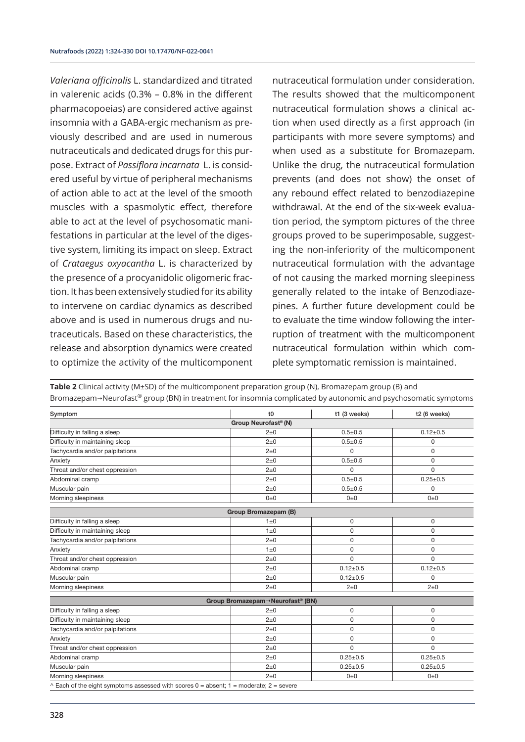*Valeriana officinalis* L. standardized and titrated in valerenic acids (0.3% – 0.8% in the different pharmacopoeias) are considered active against insomnia with a GABA-ergic mechanism as previously described and are used in numerous nutraceuticals and dedicated drugs for this purpose. Extract of *Passiflora incarnata* L. is considered useful by virtue of peripheral mechanisms of action able to act at the level of the smooth muscles with a spasmolytic effect, therefore able to act at the level of psychosomatic manifestations in particular at the level of the digestive system, limiting its impact on sleep. Extract of *Crataegus oxyacantha* L. is characterized by the presence of a procyanidolic oligomeric fraction. It has been extensively studied for its ability to intervene on cardiac dynamics as described above and is used in numerous drugs and nutraceuticals. Based on these characteristics, the release and absorption dynamics were created to optimize the activity of the multicomponent

nutraceutical formulation under consideration. The results showed that the multicomponent nutraceutical formulation shows a clinical action when used directly as a first approach (in participants with more severe symptoms) and when used as a substitute for Bromazepam. Unlike the drug, the nutraceutical formulation prevents (and does not show) the onset of any rebound effect related to benzodiazepine withdrawal. At the end of the six-week evaluation period, the symptom pictures of the three groups proved to be superimposable, suggesting the non-inferiority of the multicomponent nutraceutical formulation with the advantage of not causing the marked morning sleepiness generally related to the intake of Benzodiazepines. A further future development could be to evaluate the time window following the interruption of treatment with the multicomponent nutraceutical formulation within which complete symptomatic remission is maintained.

| Symptom                         | $10$                                         | t1 (3 weeks)   | t2 (6 weeks)   |
|---------------------------------|----------------------------------------------|----------------|----------------|
|                                 | Group Neurofast® (N)                         |                |                |
| Difficulty in falling a sleep   | $2\pm 0$                                     | $0.5 + 0.5$    | $0.12 \pm 0.5$ |
| Difficulty in maintaining sleep | $2\pm 0$                                     | $0.5 + 0.5$    | 0              |
| Tachycardia and/or palpitations | $2\pm 0$                                     | 0              | 0              |
| Anxiety                         | $2\pm 0$                                     | $0.5 + 0.5$    | 0              |
| Throat and/or chest oppression  | $2\pm 0$                                     | $\Omega$       | $\Omega$       |
| Abdominal cramp                 | $2\pm 0$                                     | $0.5 + 0.5$    | $0.25 \pm 0.5$ |
| Muscular pain                   | $2\pm 0$                                     | $0.5 + 0.5$    | 0              |
| Morning sleepiness              | $0\pm 0$                                     | $0\pm 0$       | $0\pm 0$       |
|                                 | Group Bromazepam (B)                         |                |                |
| Difficulty in falling a sleep   | $1\pm 0$                                     | 0              | 0              |
| Difficulty in maintaining sleep | $1\pm 0$                                     | 0              | 0              |
| Tachycardia and/or palpitations | $2\pm 0$                                     | 0              | 0              |
| Anxiety                         | $1\pm 0$                                     | 0              | $\Omega$       |
| Throat and/or chest oppression  | $2\pm 0$                                     | 0              | <sup>0</sup>   |
| Abdominal cramp                 | $2\pm 0$                                     | $0.12 \pm 0.5$ | $0.12 \pm 0.5$ |
| Muscular pain                   | $2\pm 0$                                     | $0.12 \pm 0.5$ | 0              |
| Morning sleepiness              | $2\pm 0$                                     | $2\pm0$        | $2\pm 0$       |
|                                 | Group Bromazepam→Neurofast <sup>®</sup> (BN) |                |                |
| Difficulty in falling a sleep   | $2\pm 0$                                     | 0              | 0              |
| Difficulty in maintaining sleep | $2\pm 0$                                     | 0              | 0              |
| Tachycardia and/or palpitations | $2\pm 0$                                     | 0              | 0              |
| Anxiety                         | $2\pm 0$                                     | 0              | 0              |
| Throat and/or chest oppression  | $2\pm 0$                                     | 0              | $\Omega$       |
| Abdominal cramp                 | $2\pm 0$                                     | $0.25 \pm 0.5$ | $0.25 \pm 0.5$ |
| Muscular pain                   | $2\pm0$                                      | $0.25 \pm 0.5$ | $0.25 \pm 0.5$ |
| Morning sleepiness              | $2\pm 0$                                     | $0\pm 0$       | $0\pm 0$       |

**Table 2** Clinical activity (M±SD) of the multicomponent preparation group (N), Bromazepam group (B) and Bromazepam→Neurofast® group (BN) in treatment for insomnia complicated by autonomic and psychosomatic symptoms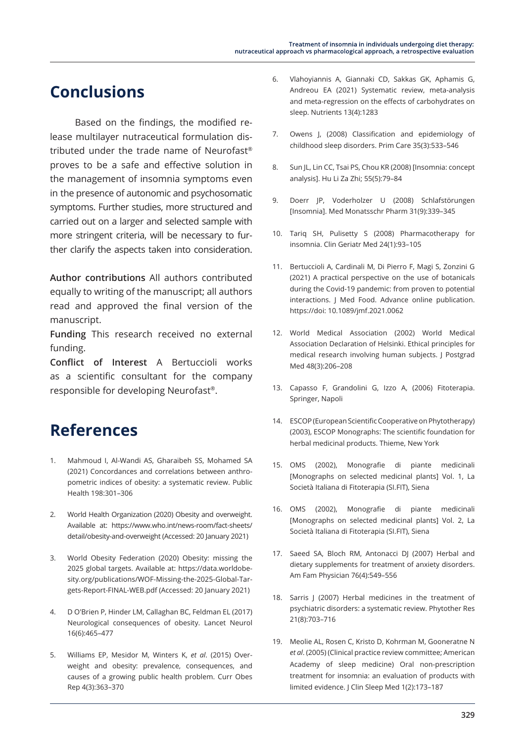# **Conclusions**

Based on the findings, the modified release multilayer nutraceutical formulation distributed under the trade name of Neurofast® proves to be a safe and effective solution in the management of insomnia symptoms even in the presence of autonomic and psychosomatic symptoms. Further studies, more structured and carried out on a larger and selected sample with more stringent criteria, will be necessary to further clarify the aspects taken into consideration.

**Author contributions** All authors contributed equally to writing of the manuscript; all authors read and approved the final version of the manuscript.

**Funding** This research received no external funding.

**Conflict of Interest** A Bertuccioli works as a scientific consultant for the company responsible for developing Neurofast®.

# **References**

- 1. Mahmoud I, Al-Wandi AS, Gharaibeh SS, Mohamed SA (2021) Concordances and correlations between anthropometric indices of obesity: a systematic review. Public Health 198:301–306
- 2. World Health Organization (2020) Obesity and overweight. Available at: https://www.who.int/news-room/fact-sheets/ detail/obesity-and-overweight (Accessed: 20 January 2021)
- 3. World Obesity Federation (2020) Obesity: missing the 2025 global targets. Available at: https://data.worldobesity.org/publications/WOF-Missing-the-2025-Global-Targets-Report-FINAL-WEB.pdf (Accessed: 20 January 2021)
- 4. D O'Brien P, Hinder LM, Callaghan BC, Feldman EL (2017) Neurological consequences of obesity. Lancet Neurol 16(6):465–477
- 5. Williams EP, Mesidor M, Winters K, *et al*. (2015) Overweight and obesity: prevalence, consequences, and causes of a growing public health problem. Curr Obes Rep 4(3):363–370
- 6. Vlahoyiannis A, Giannaki CD, Sakkas GK, Aphamis G, Andreou EA (2021) Systematic review, meta-analysis and meta-regression on the effects of carbohydrates on sleep. Nutrients 13(4):1283
- 7. Owens J, (2008) Classification and epidemiology of childhood sleep disorders. Prim Care 35(3):533–546
- 8. Sun JL, Lin CC, Tsai PS, Chou KR (2008) [Insomnia: concept analysis]. Hu Li Za Zhi; 55(5):79–84
- 9. Doerr JP, Voderholzer U (2008) Schlafstörungen [Insomnia]. Med Monatsschr Pharm 31(9):339–345
- 10. Tariq SH, Pulisetty S (2008) Pharmacotherapy for insomnia. Clin Geriatr Med 24(1):93–105
- 11. Bertuccioli A, Cardinali M, Di Pierro F, Magi S, Zonzini G (2021) A practical perspective on the use of botanicals during the Covid-19 pandemic: from proven to potential interactions. J Med Food. Advance online publication. https://doi: 10.1089/jmf.2021.0062
- 12. World Medical Association (2002) World Medical Association Declaration of Helsinki. Ethical principles for medical research involving human subjects. J Postgrad Med 48(3):206–208
- 13. Capasso F, Grandolini G, Izzo A, (2006) Fitoterapia. Springer, Napoli
- 14. ESCOP (European Scientific Cooperative on Phytotherapy) (2003), ESCOP Monographs: The scientific foundation for herbal medicinal products. Thieme, New York
- 15. OMS (2002), Monografie di piante medicinali [Monographs on selected medicinal plants] Vol. 1, La Società Italiana di Fitoterapia (SI.FIT), Siena
- 16. OMS (2002), Monografie di piante medicinali [Monographs on selected medicinal plants] Vol. 2, La Società Italiana di Fitoterapia (SI.FIT), Siena
- 17. Saeed SA, Bloch RM, Antonacci DJ (2007) Herbal and dietary supplements for treatment of anxiety disorders. Am Fam Physician 76(4):549–556
- 18. Sarris J (2007) Herbal medicines in the treatment of psychiatric disorders: a systematic review. Phytother Res 21(8):703–716
- 19. Meolie AL, Rosen C, Kristo D, Kohrman M, Gooneratne N *et al*. (2005) (Clinical practice review committee; American Academy of sleep medicine) Oral non-prescription treatment for insomnia: an evaluation of products with limited evidence. J Clin Sleep Med 1(2):173–187